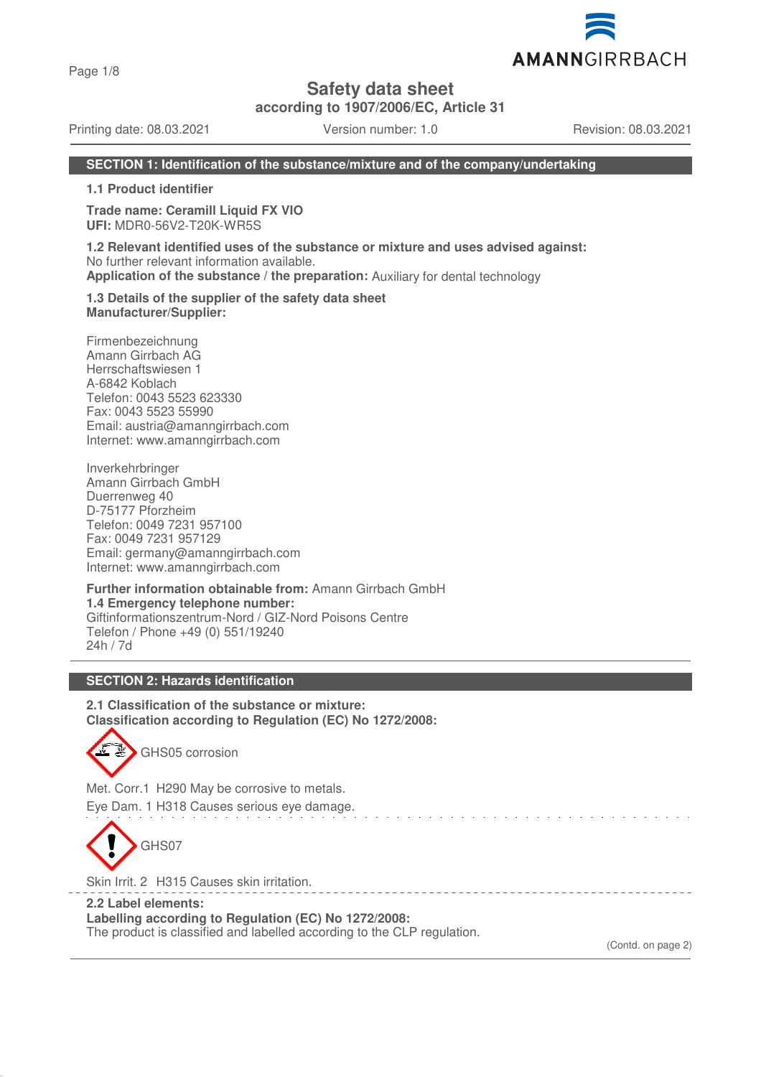Page 1/8

**Safety data sheet**

**according to 1907/2006/EC, Article 31**

Printing date: 08.03.2021 Version number: 1.0 Revision: 08.03.2021

AMANNGIRRBACH

## **SECTION 1: Identification of the substance/mixture and of the company/undertaking**

**1.1 Product identifier**

**Trade name: Ceramill Liquid FX VIO UFI:** MDR0-56V2-T20K-WR5S

**1.2 Relevant identified uses of the substance or mixture and uses advised against:** No further relevant information available. **Application of the substance / the preparation:** Auxiliary for dental technology

**1.3 Details of the supplier of the safety data sheet Manufacturer/Supplier:**

Firmenbezeichnung Amann Girrbach AG Herrschaftswiesen 1 A-6842 Koblach Telefon: 0043 5523 623330 Fax: 0043 5523 55990 Email: austria@amanngirrbach.com Internet: www.amanngirrbach.com

Inverkehrbringer Amann Girrbach GmbH Duerrenweg 40 D-75177 Pforzheim Telefon: 0049 7231 957100 Fax: 0049 7231 957129 Email: germany@amanngirrbach.com Internet: www.amanngirrbach.com

**Further information obtainable from:** Amann Girrbach GmbH **1.4 Emergency telephone number:** Giftinformationszentrum-Nord / GIZ-Nord Poisons Centre Telefon / Phone +49 (0) 551/19240 24h / 7d

### **SECTION 2: Hazards identification**

**2.1 Classification of the substance or mixture: Classification according to Regulation (EC) No 1272/2008:**



Met. Corr.1 H290 May be corrosive to metals. Eye Dam. 1 H318 Causes serious eye damage.

GHS07

Skin Irrit. 2 H315 Causes skin irritation.

**2.2 Label elements: Labelling according to Regulation (EC) No 1272/2008:** The product is classified and labelled according to the CLP regulation.

(Contd. on page 2)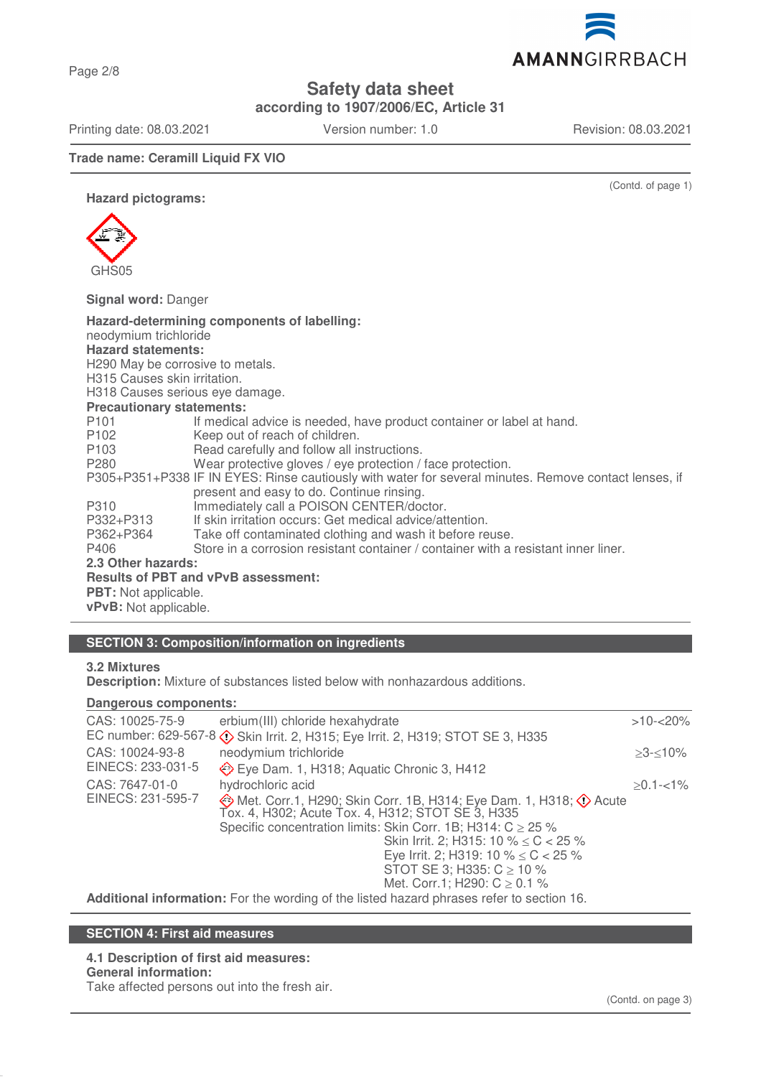Page 2/8

**Safety data sheet**

**according to 1907/2006/EC, Article 31**

Printing date: 08.03.2021 Version number: 1.0 Revision: 08.03.2021

AMANNGIRRBACH

**Trade name: Ceramill Liquid FX VIO**

(Contd. of page 1)

**Hazard pictograms:**



**Signal word:** Danger

| Hazard-determining components of labelling:<br>neodymium trichloride<br><b>Hazard statements:</b><br>H290 May be corrosive to metals.<br>H315 Causes skin irritation.<br>H318 Causes serious eye damage.<br><b>Precautionary statements:</b> |                                                                                    |  |  |
|----------------------------------------------------------------------------------------------------------------------------------------------------------------------------------------------------------------------------------------------|------------------------------------------------------------------------------------|--|--|
| P <sub>101</sub>                                                                                                                                                                                                                             | If medical advice is needed, have product container or label at hand.              |  |  |
| P102                                                                                                                                                                                                                                         | Keep out of reach of children.                                                     |  |  |
| P <sub>103</sub>                                                                                                                                                                                                                             | Read carefully and follow all instructions.                                        |  |  |
| P280                                                                                                                                                                                                                                         | Wear protective gloves / eye protection / face protection.                         |  |  |
| P305+P351+P338 IF IN EYES: Rinse cautiously with water for several minutes. Remove contact lenses, if<br>present and easy to do. Continue rinsing.                                                                                           |                                                                                    |  |  |
| P310                                                                                                                                                                                                                                         | Immediately call a POISON CENTER/doctor.                                           |  |  |
| P332+P313                                                                                                                                                                                                                                    | If skin irritation occurs: Get medical advice/attention.                           |  |  |
| P362+P364                                                                                                                                                                                                                                    | Take off contaminated clothing and wash it before reuse.                           |  |  |
| P406                                                                                                                                                                                                                                         | Store in a corrosion resistant container / container with a resistant inner liner. |  |  |
| 2.3 Other hazards:                                                                                                                                                                                                                           |                                                                                    |  |  |
| <b>Results of PBT and vPvB assessment:</b>                                                                                                                                                                                                   |                                                                                    |  |  |
| <b>PBT:</b> Not applicable.                                                                                                                                                                                                                  |                                                                                    |  |  |
| <b>vPvB:</b> Not applicable.                                                                                                                                                                                                                 |                                                                                    |  |  |

# **SECTION 3: Composition/information on ingredients**

## **3.2 Mixtures**

**Description:** Mixture of substances listed below with nonhazardous additions.

### **Dangerous components:**

| CAS: 10025-75-9                                                                           | erbium(III) chloride hexahydrate<br>EC number: 629-567-8 $\diamondsuit$ Skin Irrit. 2, H315; Eye Irrit. 2, H319; STOT SE 3, H335                                                                                                                                                                                                                                                 | $>10 - 20\%$ |  |  |
|-------------------------------------------------------------------------------------------|----------------------------------------------------------------------------------------------------------------------------------------------------------------------------------------------------------------------------------------------------------------------------------------------------------------------------------------------------------------------------------|--------------|--|--|
| CAS: 10024-93-8<br>EINECS: 233-031-5                                                      | neodymium trichloride<br>Eye Dam. 1, H318; Aquatic Chronic 3, H412                                                                                                                                                                                                                                                                                                               | $>3 - 10\%$  |  |  |
| CAS: 7647-01-0<br>EINECS: 231-595-7                                                       | hydrochloric acid<br>◈ Met. Corr.1, H290; Skin Corr. 1B, H314; Eye Dam. 1, H318; ◆ Acute Tox. 4, H302; Acute Tox. 4, H312; STOT SE 3, H335<br>Specific concentration limits: Skin Corr. 1B; H314: $C \ge 25$ %<br>Skin Irrit. 2; H315: 10 % $\leq$ C $<$ 25 %<br>Eye Irrit. 2; H319: 10 % $\leq$ C $<$ 25 %<br>STOT SE 3; H335: $C \ge 10$ %<br>Met. Corr.1; H290: $C \ge 0.1$ % | $>0.1 - 1\%$ |  |  |
| Additional information: For the wording of the listed hazard phrases refer to section 16. |                                                                                                                                                                                                                                                                                                                                                                                  |              |  |  |

# **SECTION 4: First aid measures**

**4.1 Description of first aid measures: General information:**

Take affected persons out into the fresh air.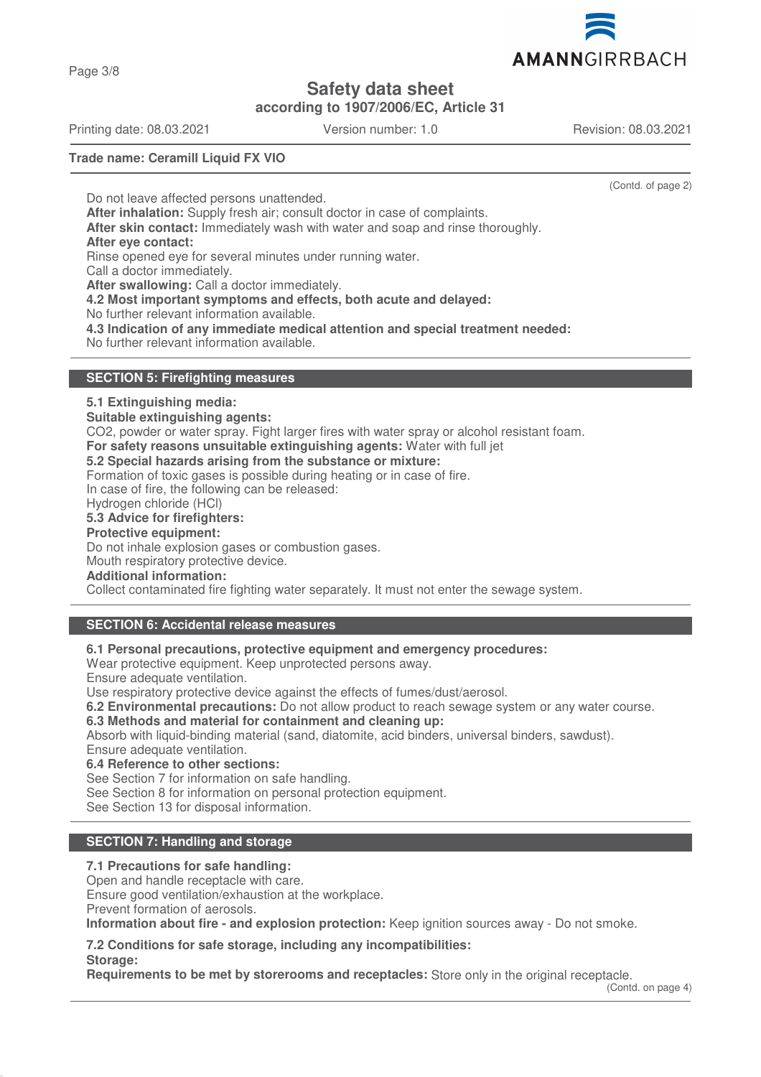

**Safety data sheet**

**according to 1907/2006/EC, Article 31**

Printing date: 08.03.2021 Version number: 1.0 Revision: 08.03.2021

(Contd. of page 2)

**Trade name: Ceramill Liquid FX VIO**

Do not leave affected persons unattended. **After inhalation:** Supply fresh air; consult doctor in case of complaints. **After skin contact:** Immediately wash with water and soap and rinse thoroughly. **After eye contact:** Rinse opened eye for several minutes under running water. Call a doctor immediately. **After swallowing:** Call a doctor immediately. **4.2 Most important symptoms and effects, both acute and delayed:** No further relevant information available. **4.3 Indication of any immediate medical attention and special treatment needed:**

No further relevant information available.

## **SECTION 5: Firefighting measures**

## **5.1 Extinguishing media:**

**Suitable extinguishing agents:**

CO2, powder or water spray. Fight larger fires with water spray or alcohol resistant foam.

**For safety reasons unsuitable extinguishing agents:** Water with full jet

### **5.2 Special hazards arising from the substance or mixture:**

Formation of toxic gases is possible during heating or in case of fire.

In case of fire, the following can be released:

Hydrogen chloride (HCl)

## **5.3 Advice for firefighters:**

**Protective equipment:**

Do not inhale explosion gases or combustion gases.

Mouth respiratory protective device.

# **Additional information:**

Collect contaminated fire fighting water separately. It must not enter the sewage system.

# **SECTION 6: Accidental release measures**

**6.1 Personal precautions, protective equipment and emergency procedures:**

Wear protective equipment. Keep unprotected persons away.

Ensure adequate ventilation.

Use respiratory protective device against the effects of fumes/dust/aerosol.

**6.2 Environmental precautions:** Do not allow product to reach sewage system or any water course.

**6.3 Methods and material for containment and cleaning up:**

Absorb with liquid-binding material (sand, diatomite, acid binders, universal binders, sawdust). Ensure adequate ventilation.

**6.4 Reference to other sections:**

See Section 7 for information on safe handling.

See Section 8 for information on personal protection equipment.

See Section 13 for disposal information.

## **SECTION 7: Handling and storage**

### **7.1 Precautions for safe handling:**

Open and handle receptacle with care.

Ensure good ventilation/exhaustion at the workplace.

Prevent formation of aerosols.

**Storage:**

**Information about fire - and explosion protection:** Keep ignition sources away - Do not smoke.

**7.2 Conditions for safe storage, including any incompatibilities:**

**Requirements to be met by storerooms and receptacles:** Store only in the original receptacle.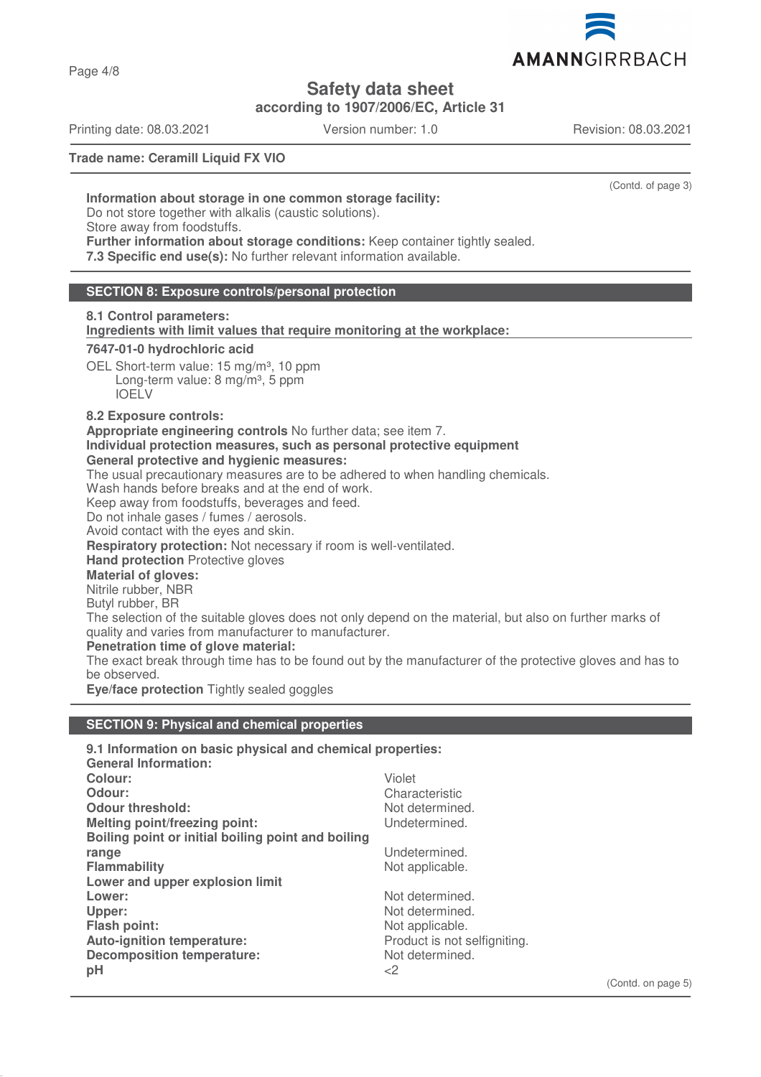

**Safety data sheet**

**according to 1907/2006/EC, Article 31**

Printing date: 08.03.2021 Version number: 1.0 Revision: 08.03.2021

Page 4/8

(Contd. of page 3)

**Trade name: Ceramill Liquid FX VIO**

**Information about storage in one common storage facility:**

Do not store together with alkalis (caustic solutions).

Store away from foodstuffs.

**Further information about storage conditions:** Keep container tightly sealed. **7.3 Specific end use(s):** No further relevant information available.

## **SECTION 8: Exposure controls/personal protection**

**8.1 Control parameters: Ingredients with limit values that require monitoring at the workplace:** 

## **7647-01-0 hydrochloric acid**

OEL Short-term value: 15 mg/m<sup>3</sup>, 10 ppm Long-term value:  $8 \text{ mg/m}^3$ , 5 ppm IOELV

### **8.2 Exposure controls:**

**Appropriate engineering controls** No further data; see item 7.

**Individual protection measures, such as personal protective equipment**

### **General protective and hygienic measures:**

The usual precautionary measures are to be adhered to when handling chemicals.

Wash hands before breaks and at the end of work.

Keep away from foodstuffs, beverages and feed.

Do not inhale gases / fumes / aerosols.

Avoid contact with the eyes and skin.

**Respiratory protection:** Not necessary if room is well-ventilated.

**Hand protection** Protective gloves

# **Material of gloves:**

Nitrile rubber, NBR

Butyl rubber, BR

The selection of the suitable gloves does not only depend on the material, but also on further marks of quality and varies from manufacturer to manufacturer.

### **Penetration time of glove material:**

The exact break through time has to be found out by the manufacturer of the protective gloves and has to be observed.

**Eye/face protection** Tightly sealed goggles

## **SECTION 9: Physical and chemical properties**

| 9.1 Information on basic physical and chemical properties: |                              |  |
|------------------------------------------------------------|------------------------------|--|
| <b>General Information:</b>                                |                              |  |
| Colour:                                                    | Violet                       |  |
| Odour:                                                     | Characteristic               |  |
| <b>Odour threshold:</b>                                    | Not determined.              |  |
| Melting point/freezing point:                              | Undetermined.                |  |
| Boiling point or initial boiling point and boiling         |                              |  |
| range                                                      | Undetermined.                |  |
| <b>Flammability</b>                                        | Not applicable.              |  |
| Lower and upper explosion limit                            |                              |  |
| Lower:                                                     | Not determined.              |  |
| Upper:                                                     | Not determined.              |  |
| <b>Flash point:</b>                                        | Not applicable.              |  |
| Auto-ignition temperature:                                 | Product is not selfigniting. |  |
| <b>Decomposition temperature:</b>                          | Not determined.              |  |
| pH                                                         | ${<}2$                       |  |
|                                                            |                              |  |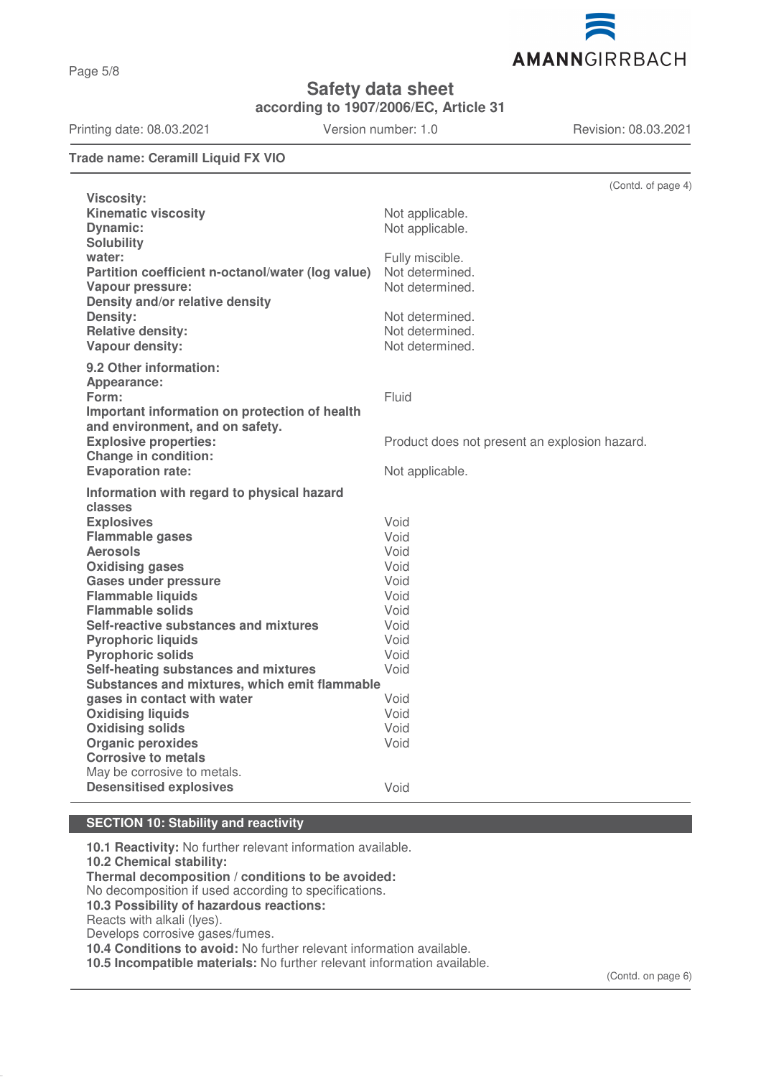Page 5/8

# **Safety data sheet**

**according to 1907/2006/EC, Article 31**

## **Trade name: Ceramill Liquid FX VIO**

|                                                         | (Contd. of page 4)                            |  |  |  |
|---------------------------------------------------------|-----------------------------------------------|--|--|--|
| <b>Viscosity:</b><br><b>Kinematic viscosity</b>         |                                               |  |  |  |
|                                                         | Not applicable.<br>Not applicable.            |  |  |  |
| <b>Dynamic:</b>                                         |                                               |  |  |  |
| <b>Solubility</b><br>water:                             |                                               |  |  |  |
| Partition coefficient n-octanol/water (log value)       | Fully miscible.<br>Not determined.            |  |  |  |
| Vapour pressure:                                        | Not determined.                               |  |  |  |
| Density and/or relative density                         |                                               |  |  |  |
| Density:                                                | Not determined.                               |  |  |  |
| <b>Relative density:</b>                                | Not determined.                               |  |  |  |
| Vapour density:                                         | Not determined.                               |  |  |  |
|                                                         |                                               |  |  |  |
| 9.2 Other information:                                  |                                               |  |  |  |
| Appearance:                                             |                                               |  |  |  |
| Form:                                                   | Fluid                                         |  |  |  |
| Important information on protection of health           |                                               |  |  |  |
| and environment, and on safety.                         |                                               |  |  |  |
| <b>Explosive properties:</b>                            | Product does not present an explosion hazard. |  |  |  |
| <b>Change in condition:</b>                             |                                               |  |  |  |
| <b>Evaporation rate:</b>                                | Not applicable.                               |  |  |  |
| Information with regard to physical hazard              |                                               |  |  |  |
| classes                                                 |                                               |  |  |  |
| <b>Explosives</b>                                       | Void                                          |  |  |  |
| <b>Flammable gases</b>                                  | Void                                          |  |  |  |
| <b>Aerosols</b>                                         | Void                                          |  |  |  |
| <b>Oxidising gases</b>                                  | Void                                          |  |  |  |
| <b>Gases under pressure</b>                             | Void                                          |  |  |  |
| <b>Flammable liquids</b>                                | Void                                          |  |  |  |
| <b>Flammable solids</b>                                 | Void                                          |  |  |  |
| Self-reactive substances and mixtures                   | Void                                          |  |  |  |
| <b>Pyrophoric liquids</b>                               | Void                                          |  |  |  |
| <b>Pyrophoric solids</b>                                | Void                                          |  |  |  |
| Self-heating substances and mixtures                    | Void                                          |  |  |  |
| Substances and mixtures, which emit flammable<br>Void   |                                               |  |  |  |
| gases in contact with water<br><b>Oxidising liquids</b> | Void                                          |  |  |  |
| <b>Oxidising solids</b>                                 | Void                                          |  |  |  |
| <b>Organic peroxides</b>                                | Void                                          |  |  |  |
| <b>Corrosive to metals</b>                              |                                               |  |  |  |
| May be corrosive to metals.                             |                                               |  |  |  |
| <b>Desensitised explosives</b>                          | Void                                          |  |  |  |
|                                                         |                                               |  |  |  |

# **SECTION 10: Stability and reactivity**

**10.1 Reactivity:** No further relevant information available. **10.2 Chemical stability: Thermal decomposition / conditions to be avoided:** No decomposition if used according to specifications. **10.3 Possibility of hazardous reactions:** Reacts with alkali (lyes). Develops corrosive gases/fumes. **10.4 Conditions to avoid:** No further relevant information available. **10.5 Incompatible materials:** No further relevant information available.



Printing date: 08.03.2021 Version number: 1.0 Revision: 08.03.2021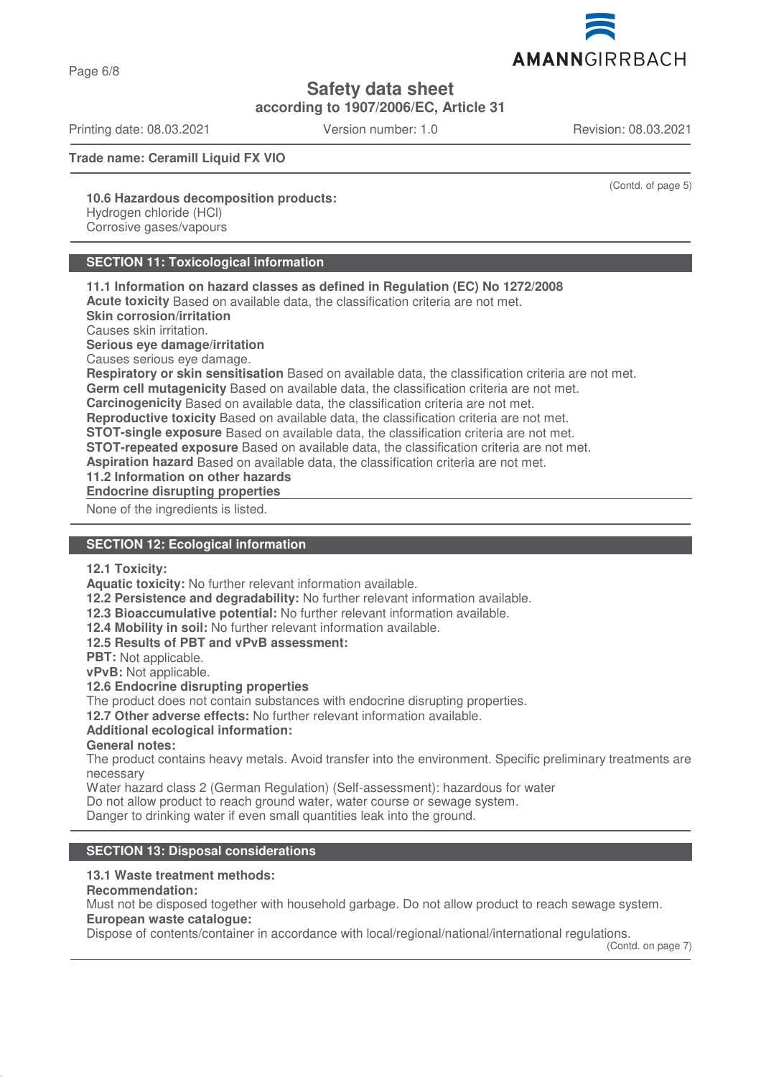Page 6/8

**Safety data sheet**

**according to 1907/2006/EC, Article 31**

Printing date: 08.03.2021 Version number: 1.0 Revision: 08.03.2021

**Trade name: Ceramill Liquid FX VIO**

(Contd. of page 5)

**10.6 Hazardous decomposition products:**

Hydrogen chloride (HCl) Corrosive gases/vapours

# **SECTION 11: Toxicological information**

**11.1 Information on hazard classes as defined in Regulation (EC) No 1272/2008 Acute toxicity** Based on available data, the classification criteria are not met. **Skin corrosion/irritation**

Causes skin irritation.

**Serious eye damage/irritation**

Causes serious eye damage.

**Respiratory or skin sensitisation** Based on available data, the classification criteria are not met.

**Germ cell mutagenicity** Based on available data, the classification criteria are not met.

**Carcinogenicity** Based on available data, the classification criteria are not met.

**Reproductive toxicity** Based on available data, the classification criteria are not met.

**STOT-single exposure** Based on available data, the classification criteria are not met.

**STOT-repeated exposure** Based on available data, the classification criteria are not met.

**Aspiration hazard** Based on available data, the classification criteria are not met.

**11.2 Information on other hazards**

**Endocrine disrupting properties** 

None of the ingredients is listed.

# **SECTION 12: Ecological information**

**12.1 Toxicity:**

**Aquatic toxicity:** No further relevant information available.

**12.2 Persistence and degradability:** No further relevant information available.

**12.3 Bioaccumulative potential:** No further relevant information available.

**12.4 Mobility in soil:** No further relevant information available.

**12.5 Results of PBT and vPvB assessment:**

**PBT:** Not applicable.

**vPvB:** Not applicable.

### **12.6 Endocrine disrupting properties**

The product does not contain substances with endocrine disrupting properties.

**12.7 Other adverse effects:** No further relevant information available.

## **Additional ecological information:**

**General notes:**

The product contains heavy metals. Avoid transfer into the environment. Specific preliminary treatments are necessary

Water hazard class 2 (German Regulation) (Self-assessment): hazardous for water

Do not allow product to reach ground water, water course or sewage system.

Danger to drinking water if even small quantities leak into the ground.

## **SECTION 13: Disposal considerations**

## **13.1 Waste treatment methods:**

### **Recommendation:**

Must not be disposed together with household garbage. Do not allow product to reach sewage system. **European waste catalogue:**

Dispose of contents/container in accordance with local/regional/national/international regulations.

(Contd. on page 7)

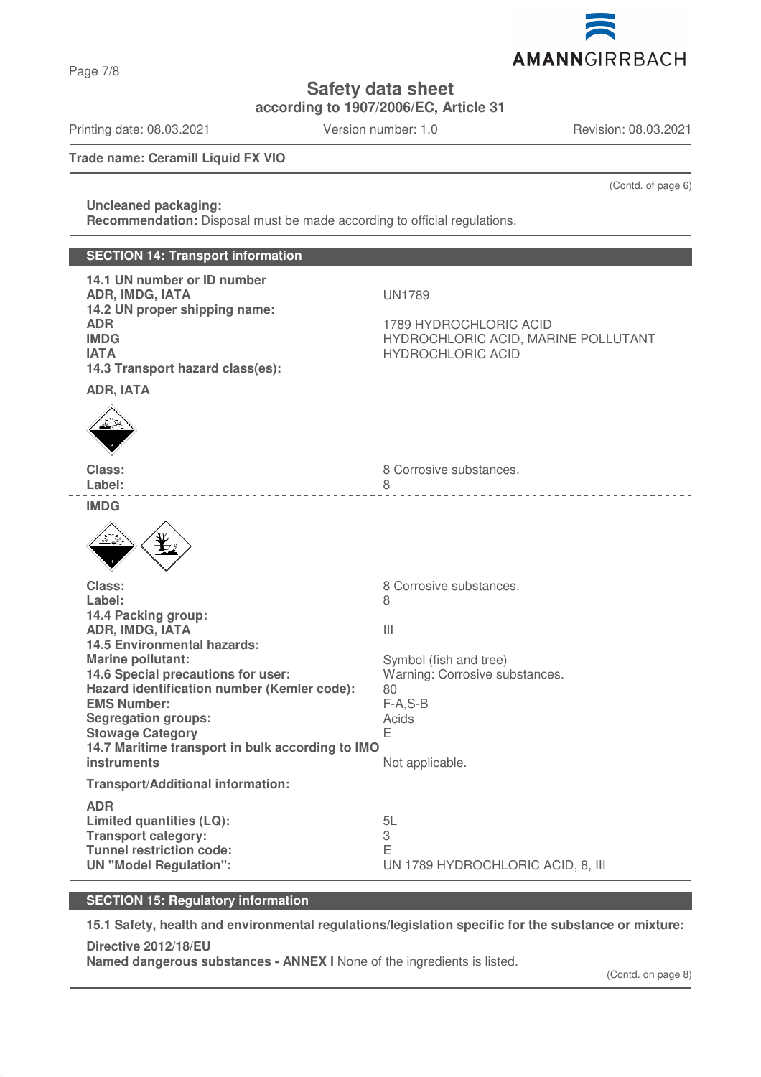AMANNGIRRBACH

**Safety data sheet**

**according to 1907/2006/EC, Article 31**

Printing date: 08.03.2021 Version number: 1.0 Revision: 08.03.2021

(Contd. of page 6)

**Trade name: Ceramill Liquid FX VIO**

# **Uncleaned packaging:**

**Recommendation:** Disposal must be made according to official regulations.

# **SECTION 14: Transport information 14.1 UN number or ID number ADR, IMDG, IATA** UN1789 **14.2 UN proper shipping name: ADR** 1789 HYDROCHLORIC ACID **IMDG** HYDROCHLORIC ACID, MARINE POLLUTANT **IATA IATA HYDROCHLORIC ACID 14.3 Transport hazard class(es): ADR, IATA Class: Class: 8 Corrosive substances.** Label: 8 \_\_\_\_\_\_\_\_\_\_\_\_\_\_\_\_\_\_\_\_\_\_\_\_\_ **IMDG Class:** 8 Corrosive substances. Label: 8 **14.4 Packing group: ADR, IMDG, IATA** III **14.5 Environmental hazards: Marine pollutant:**  $Symbol (fish and tree)$ **14.6 Special precautions for user:** Warning: Corrosive substances. **Hazard identification number (Kemler code):** 80 **EMS Number:** F-A,S-B **Segregation groups:** Acids Acids<br> **Stowage Category Stowage Category 14.7 Maritime transport in bulk according to IMO instruments** Not applicable. **Transport/Additional information:** \_\_\_\_\_\_\_\_\_\_\_\_\_\_\_\_\_\_\_\_\_\_\_\_\_\_\_\_\_ **ADR Limited quantities (LQ):** 5L **Transport category:** 3 **Tunnel restriction code:** E **UN "Model Regulation":** UN 1789 HYDROCHLORIC ACID, 8, III

## **SECTION 15: Regulatory information**

**15.1 Safety, health and environmental regulations/legislation specific for the substance or mixture:**

**Directive 2012/18/EU Named dangerous substances - ANNEX I** None of the ingredients is listed.

# Page 7/8